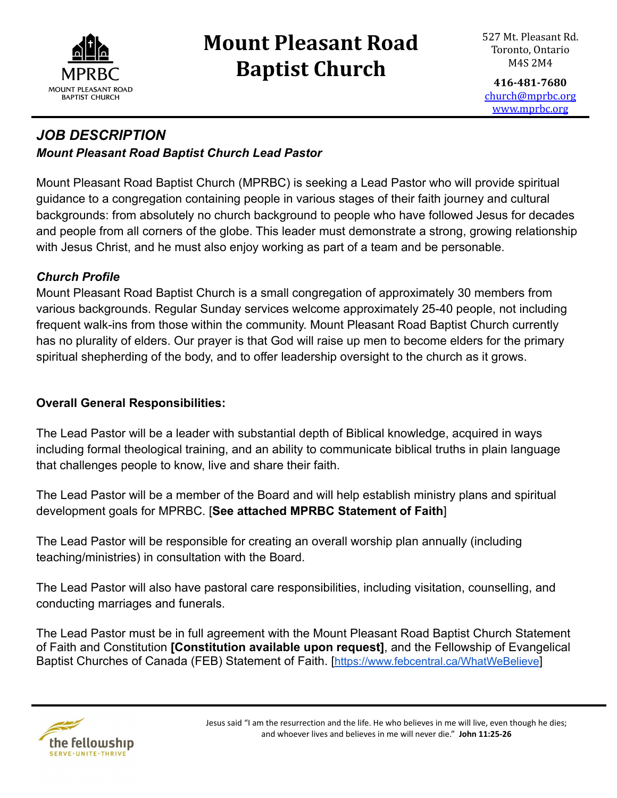

# **Mount Pleasant Road Baptist Church**

**416-481-7680** [church@mprbc.org](mailto:church@mprbc.org) [www.mprbc.org](http://www.mprbc.org)

### *JOB DESCRIPTION Mount Pleasant Road Baptist Church Lead Pastor*

Mount Pleasant Road Baptist Church (MPRBC) is seeking a Lead Pastor who will provide spiritual guidance to a congregation containing people in various stages of their faith journey and cultural backgrounds: from absolutely no church background to people who have followed Jesus for decades and people from all corners of the globe. This leader must demonstrate a strong, growing relationship with Jesus Christ, and he must also enjoy working as part of a team and be personable.

#### *Church Profile*

Mount Pleasant Road Baptist Church is a small congregation of approximately 30 members from various backgrounds. Regular Sunday services welcome approximately 25-40 people, not including frequent walk-ins from those within the community. Mount Pleasant Road Baptist Church currently has no plurality of elders. Our prayer is that God will raise up men to become elders for the primary spiritual shepherding of the body, and to offer leadership oversight to the church as it grows.

#### **Overall General Responsibilities:**

The Lead Pastor will be a leader with substantial depth of Biblical knowledge, acquired in ways including formal theological training, and an ability to communicate biblical truths in plain language that challenges people to know, live and share their faith.

The Lead Pastor will be a member of the Board and will help establish ministry plans and spiritual development goals for MPRBC. [**See attached MPRBC Statement of Faith**]

The Lead Pastor will be responsible for creating an overall worship plan annually (including teaching/ministries) in consultation with the Board.

The Lead Pastor will also have pastoral care responsibilities, including visitation, counselling, and conducting marriages and funerals.

The Lead Pastor must be in full agreement with the Mount Pleasant Road Baptist Church Statement of Faith and Constitution **[Constitution available upon request]**, and the Fellowship of Evangelical Baptist Churches of Canada (FEB) Statement of Faith. [<https://www.febcentral.ca/WhatWeBelieve>]